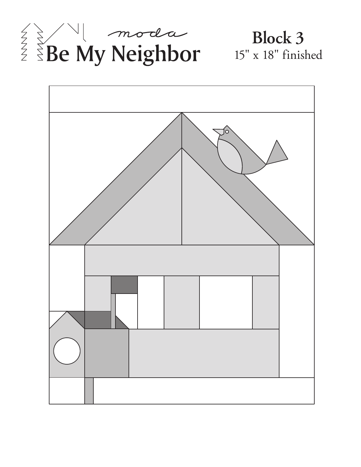

# **Block 3**  15" x 18" finished

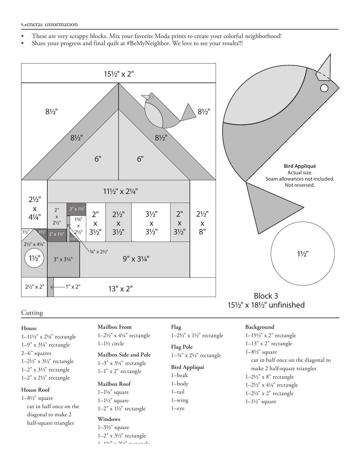- These are very scrappy blocks. Mix your favorite Moda prints to create your colorful neighborhood!
- Share your progress and final quilt at #BeMyNeighbor. We love to see your results!!!



#### **Cutting**

## **House**

1–11½" x 2¼" rectangle 1–9" x 3¼" rectangle 2–6" squares 1–2½" x 3½" rectangle 1–2" x 3½" rectangle 1–2" x 2½" rectangle

#### **House Roof**

1–8½" square cut in half once on the diagonal to make 2 half-square triangles

### **Mailbox Front** 1–2½" x 4¼" rectangle

1–1½ circle

Mailbox Side and Pole  $1-34$ " x 2½" rectangle 1–3" x 3¼" rectangle 1–1" x 2" rectangle

### **Mailbox Roof**

1–1¼" square  $1-1\frac{1}{2}$ " square

1–2" x 1½" rectangle **Windows**

1–3½" square

1–2" x 3½" rectangle

1–1 $32$ <sup> $\mu$ </sup> and  $212$ <sup> $\mu$ </sup> received and  $1$ 

#### **Flag**

1–2½" x 1½" rectangle

**Flag Pole**

#### **Bird Appliqué**

1–beak 1–body 1–tail

1–wing 1–eye

#### **Background**

1–15½" x 2" rectangle 1–13" x 2" rectangle 1–8½" square cut in half once on the diagonal to make 2 half-square triangles 1–2½" x 8" rectangle 1–2½" x 4¼" rectangle 1–2½" x 2" rectangle 1–1½" square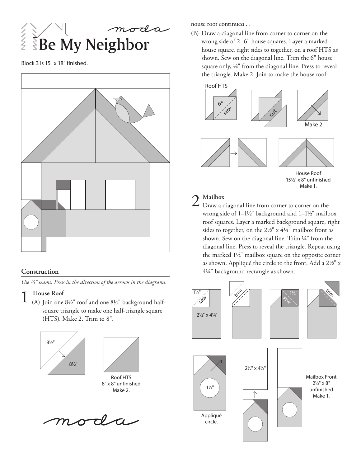$\sum_{k=1}^{\infty}$  Aly Neighbor そろく

Block 3 is 15" x 18" finished.



### **Construction**

*Use ¼" seams. Press in the direction of the arrows in the diagrams.*

1 **House Roof** (A) Join one 8½" roof and one 8½" background halfsquare triangle to make one half-triangle square (HTS). Make 2. Trim to 8".



oda

house roof continued . . .

(B) Draw a diagonal line from corner to corner on the wrong side of 2–6" house squares. Layer a marked house square, right sides to together, on a roof HTS as shown. Sew on the diagonal line. Trim the 6" house square only, ¼" from the diagonal line. Press to reveal the triangle. Make 2. Join to make the house roof.



15½" x 8" unfinished Make 1.

2 **Mailbox** Draw a diagonal line from corner to corner on the wrong side of 1–1½" background and 1–1½" mailbox roof squares. Layer a marked background square, right sides to together, on the 2½" x 4¼" mailbox front as shown. Sew on the diagonal line. Trim ¼" from the diagonal line. Press to reveal the triangle. Repeat using the marked 1½" mailbox square on the opposite corner as shown. Appliqué the circle to the front. Add a 2½" x 4¼" background rectangle as shown.